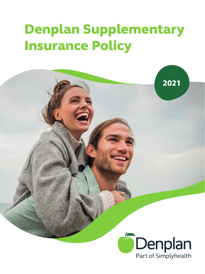# Denplan Supplementary Insurance Policy



2021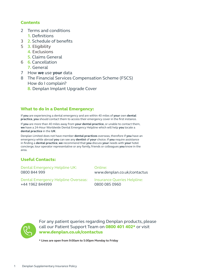## **Contents**

- 2 Terms and conditions
	- **1.** Definitions
- 3 **2.** Schedule of benefits
- 5 **3.** Eligibility
	- **4.** Exclusions
	- **5.** Claims General
- 6 **6.** Cancellation
	- **7.** General
- 7 How **we** use **your** data
- 8 The Financial Services Compensation Scheme (FSCS) How do I complain?
	- **8.** Denplan Implant Upgrade Cover

## What to do in a Dental Emergency:

If **you** are experiencing a dental emergency and are within 40 miles of **your** own **dental practice**, **you** should contact them to access their emergency cover in the first instance.

If **you** are more than 40 miles away from **your dental practice**, or unable to contact them, **we** have a 24-Hour Worldwide Dental Emergency Helpline which will help **you** locate a **dental practice** in the **UK**.

Denplan Limited does not have member **dental practices** overseas, therefore if **you** have an emergency while abroad **you** can see any **dentist** of **your** choice. If **you** require assistance in finding a **dental practice**, **we** recommend that **you** discuss **your** needs with **your** hotel concierge, tour operator representative or any family, friends or colleagues **you** know in the area.

# Useful Contacts:

Dental Emergency Helpline UK: 0800 844 999

## Online:

www.denplan.co.uk/contactus

Dental Emergency Helpline Overseas: +44 1962 844999

Insurance Queries Helpline: 0800 085 0960



For any patient queries regarding Denplan products, please call our Patient Support Team on 0800 401 402\* or visit www.denplan.co.uk/contactus

**\* Lines are open from 9:00am to 5:00pm Monday to Friday**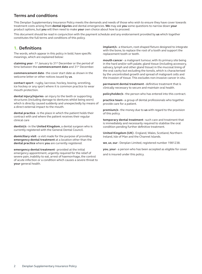# **Terms and conditions**

This Denplan Supplementary Insurance Policy meets the demands and needs of those who wish to ensure they have cover towards treatment costs arising from **dental injuries** and dental emergencies. **We** may ask **you** some questions to narrow down **your** product options, but **you** will then need to make **your** own choice about how to proceed.

This document should be read in conjunction with the payment schedule and any endorsement provided by **us** which together constitutes the full terms and conditions of this policy.

# **1. Definitions**

The words, which appear in this policy in bold, have specific meanings, which are explained below:

**claiming year** - 1st January to 31st December or the period of time between the **commencement date** and 31st December.

**commencement date** - the cover start date as shown in the welcome letter or other notices issued by **us**.

**contact sport** - rugby, lacrosse, hockey, boxing, wrestling, ice hockey or any sport where it is common practice to wear mouth protection.

**dental injury/injuries**- an injury to the teeth or supporting structures (including damage to dentures whilst being worn) which is directly caused suddenly and unexpectedly by means of a direct external impact to the mouth.

**dental practice** - is the place in which the patient holds their contract with and where the patient receives their regular clinical care

**dentist/s** - in the **United Kingdom**, a dental surgeon who is currently registered with the General Dental Council.

**domiciliary visit** - a visit made for the purpose of providing **emergency dental treatment** at a location other than the **dental practice** where **you** are currently registered.

**emergency dental treatment** - provided at the initial emergency appointment, urgently required for the relief of severe pain, inability to eat, arrest of haemorrhage, the control of acute infection or a condition which causes a severe threat to **your** general health.

**implant/s** - a titanium, root-shaped fixture designed to integrate with the bone, to replace the root of a tooth and support the replacement tooth or teeth.

**mouth cancer** - a malignant tumour, with its primary site being in the hard and/or soft palate, gland tissue (including accessory, salivary, lymph and other gland tissue) in the mucosal lining of the oral cavity but excluding the tonsils, which is characterised by the uncontrolled growth and spread of malignant cells and the invasion of tissue. This excludes non-invasive cancer in situ.

**permanent dental treatment** - definitive treatment that is clinically necessary to secure and maintain oral health.

**policyholder/s** - the person who has entered into this contract.

**practice team** - a group of dental professionals who together provide care for a patient.

**premium/s** - the money due to **us** with regard to the provision of this policy.

**temporary dental treatment** - such care and treatment that is immediately and necessarily required to stabilise the oral condition pending further definitive treatment.

**United Kingdom (UK)** - England, Wales, Scotland, Northern Ireland, Isle of Man and the Channel Islands.

**we**, **us**, **our** - Denplan Limited, registered number 1981238.

**you**, **your** - a person who has been accepted as eligible for cover

and is insured under this policy.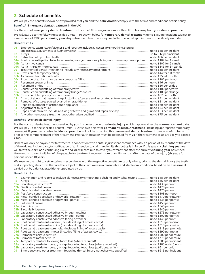# **2. Schedule of benefits**

**We** will pay the benefits shown below provided that **you** and the **policyholder** comply with the terms and conditions of this policy.

## **Benefit A Emergency dental treatment in the UK**

For the cost of **emergency dental treatment** within the **UK** when **you** are more than 40 miles away from **your dental practice**.

**We** will pay up to the following specified limits 1-16 shown below for **temporary dental treatment** up to £450 per incident subject to a maximum of £900 per **claiming year**. Any subsequent treatment required after the initial appointment is specifically excluded.

## **Benefit Limits**

**01** Emergency examination/diagnosis and report to include all necessary smoothing, stoning

|                 |                                                                                                                                                                                                                               | up to £48 per incident   |
|-----------------|-------------------------------------------------------------------------------------------------------------------------------------------------------------------------------------------------------------------------------|--------------------------|
| 02              |                                                                                                                                                                                                                               | up to £32 per incident   |
| 03              |                                                                                                                                                                                                                               | up to £86 per incident   |
|                 | 04a Root canal extirpation to include dressings and/or temporary fillings and necessary prescriptions                                                                                                                         | . up to £102 for 1 canal |
|                 | $\alpha$ As 4a – two canals                                                                                                                                                                                                   | up to £107 for 2 canals  |
|                 |                                                                                                                                                                                                                               | up to £143 for 3+ canals |
| 05              | Treatment of dental infection to include any necessary prescriptions [11] Treatment of dental infection to include any necessary prescriptions                                                                                | up to £38 per incident   |
|                 |                                                                                                                                                                                                                               | up to £44 for 1st tooth  |
|                 |                                                                                                                                                                                                                               | up to £25 add. tooth     |
|                 |                                                                                                                                                                                                                               | up to £102 per tooth     |
| 07              | Recement crown or inlay <i>manufacture contained a contained a contained a contained a contained</i>                                                                                                                          | up to £46 per item       |
| 08              |                                                                                                                                                                                                                               | up to £56 per bridge     |
| 09              |                                                                                                                                                                                                                               | up to £100 per crown     |
| 10a             | Construction and fitting of temporary bridge/denture [11] [11] Construction and fitting of temporary bridge/denture                                                                                                           | up to £180 per bridge    |
| 10 <sub>b</sub> | Provision of temporary post and core manufactured contained and core and core and core and core and core and core and core and core and core and core and core and core and core and core and core and core and core and core | up to £82 per tooth      |
| 11              | Arrest of abnormal haemorrhage including aftercare and associated suture removal manusculler                                                                                                                                  | up to £51 per incident   |
| 12              |                                                                                                                                                                                                                               | up to £31 per incident   |
| 13              | Repair/adjustment of orthodontic appliance manufactured and contained and representation of orthodontic appliance                                                                                                             | up to £60 per incident   |
| 14              | Adjustment to denture                                                                                                                                                                                                         | up to £34 per incident   |
| 15              | Repair of denture to include re-fixing of teeth and gums and repair of clasp                                                                                                                                                  | up to £53 per incident   |
| 16              |                                                                                                                                                                                                                               | up to £75 per incident   |

#### **Benefit B Worldwide dental injury**

For the costs of dental treatment received by **you** in connection with a **dental injury** which happens after the **commencement date**. **We** will pay up to the specified benefit limits 17-29 shown below for **permanent dental treatment** (including appropriate temporary coverage). If **your** own contracted **dental practice** will not be providing this **permanent dental treatment**, please confirm to **us** prior to the commencement of the treatment. Prior authorisation must be obtained from **us** if the treatment costs are likely to exceed  $f200$ 

Benefit will only be payable for treatments in connection with dental injuries that commence within a period of six months of the date of the original incident and/or notification of an intention to claim, and while this policy is in force. If this spans a **claiming year we** will treat the claim as a continuing claim and **we** will continue to cover **your** treatment after the current **claiming year** has ended. However, in no event will benefit be payable for treatment received more than 18 months after the date of the injury (six years for persons under 18 years).

**We** reserve the right to settle claims in accordance with the respective benefit limits only where, prior to the **dental injury** the teeth and supporting structures that are the subject of the claim were in a reasonable and stable oral condition, based on an assessment carried out by a dental practitioner appointed by **us**.

## **Benefit Limits**

| 17  | Examination and report to include all necessary smoothing, polishing and vitality testing                                                                                                                                     | up to £48 per incident  |
|-----|-------------------------------------------------------------------------------------------------------------------------------------------------------------------------------------------------------------------------------|-------------------------|
| 18  |                                                                                                                                                                                                                               | up to £36 per incident  |
|     |                                                                                                                                                                                                                               |                         |
| 19h | Dentine bonded crown manufactured and contact the control of the bonded crown manufactured and contact the bonded crown                                                                                                       | up to £478 per unit     |
|     | 20a Metal bonded porcelain crown material contracts and a series of the series of the series of the series of the series of the series of the series of the series of the series of the series of the series of the series of | up to £470 per unit     |
|     | 20b Post/core construction                                                                                                                                                                                                    | up to £108 per tooth    |
|     | 21a Metal bonded porcelain bridgework - retainer [11] Martin Mathematic Metal bonded porcelain bridgework - retainer                                                                                                          | up to £470 per retainer |
|     | 21b Metal bonded porcelain bridgework - pontic material content content and metal bonded porcelain bridgework - pontic                                                                                                        | up to £435 per pontic   |
| 22. | Full metal crown поставленно постоянно полной пользовании с поставление и полной пользовании с пользовании с п                                                                                                                | up to £450 per unit     |
|     |                                                                                                                                                                                                                               | up to £540 per unit     |
|     |                                                                                                                                                                                                                               | up to £540 per unit     |
|     |                                                                                                                                                                                                                               | up to £275 per retainer |
|     | 24b Laboratory constructed adhesive bridge - pontic manufactured construction construction and all the laboratory constructed adhesive bridge - pontic                                                                        | up to £300 per pontic   |
| 25  |                                                                                                                                                                                                                               |                         |
|     |                                                                                                                                                                                                                               |                         |
|     |                                                                                                                                                                                                                               | up to £318 per canine   |
|     |                                                                                                                                                                                                                               | up to £318 per premolar |
|     | 26d Root canal treatment - molar (includes filling of access cavity) [11] [26] Root canal treatment - molar (includes filling of access cavity)                                                                               | up to £390 per molar    |
|     |                                                                                                                                                                                                                               | up to £500 per denture  |
|     | 27b Permanent metal denture                                                                                                                                                                                                   | up to £775 per denture  |
|     | 27c Temporary denture following tooth loss (where required) matches contain the matches with the f305 per incident                                                                                                            |                         |
|     |                                                                                                                                                                                                                               |                         |
|     |                                                                                                                                                                                                                               |                         |
|     |                                                                                                                                                                                                                               |                         |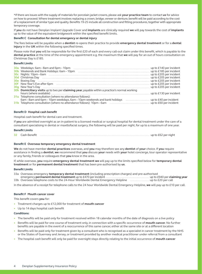\*If there are issues with the supply of materials for porcelain jacket crowns, please ask **your practice team** to contact **us** for advice on how to proceed. Where treatment involves replacing a crown, bridge, veneer or denture, benefit will be paid according to the cost of a replacement of similar type and quality. Benefits 19-25 include all construction and fitting procedures, together with appropriate temporary coverage.

If **you** do not have Denplan Implant Upgrade Cover and **implants** are clinically required **we** will pay towards the cost of **implants** up to the value of the equivalent bridgework within the specified benefit limits.

#### **Benefit C Consultation for dental emergency or dental injury**

The fees below will be payable when a **dentist** re-opens their practice to provide **emergency dental treatment** or for a **dental injury** in the **UK** within the following specified times.

Please note that **you** will be responsible for the first £20 of each and every call-out claim under this benefit, which is payable to the **dental practice** at the time of the emergency appointment e.g. the maximum that **we** will pay for an out of hours consultation on Christmas Day is £185.

## **Benefit Limits**

|                                                                                                                                                                                                                                           | up to £205 per incident   |
|-------------------------------------------------------------------------------------------------------------------------------------------------------------------------------------------------------------------------------------------|---------------------------|
|                                                                                                                                                                                                                                           | . up to £205 per incident |
| <b>30e</b> Boxing Day <b>contract the contract of the contract of the contract of the contract of the contract of the contract of the contract of the contract of the contract of the contract of the contract of the contract of the</b> | . up to £205 per incident |
|                                                                                                                                                                                                                                           | . up to £205 per incident |
|                                                                                                                                                                                                                                           | up to £205 per incident   |
| 30h Domiciliary visits up to two per claiming year, payable within a practice's normal working                                                                                                                                            |                           |
|                                                                                                                                                                                                                                           | up to £130 per incident   |
| 31a Telephone consultation (where no attendance follows):                                                                                                                                                                                 |                           |
| 6am – 8am and 6pm – 10pm weekdays, 6am – 10pm weekends and bank holidays [1] [1] $\mu$ = 0.000 [40] per incident                                                                                                                          |                           |
|                                                                                                                                                                                                                                           |                           |

#### **Benefit D Hospital cash benefit**

Hospital cash benefit for dental care and treatment.

If **you** are admitted overnight as an in-patient to a licensed medical or surgical hospital for dental treatment under the care of a consultant specialising in dental or maxillofacial surgery, the following will be paid per night, for up to a maximum of one year.

## **Benefit Limits**

**32** Cash Benefit. . up to £62 per night

#### **Benefit E Overseas temporary emergency dental treatment**

**We** do not have member **dental practices** overseas, and **you** may therefore see any **dentist** of **your** choice. If **you** require assistance in finding a **dentist**, **we** recommend that **you** discuss **your** needs with **your** hotel concierge, tour operator representative or any family, friends or colleagues that **you** know in the area.

If, while overseas, **you** require **emergency dental treatment we** will pay up to the limits specified below for **temporary dental treatment** or for **permanent dental treatment** that has been pre-authorised by **us**.

#### **Benefit Limits**

| 33a Overseas emergency temporary dental treatment (including prescription charges) and pre-authorised |  |  |
|-------------------------------------------------------------------------------------------------------|--|--|
|                                                                                                       |  |  |
|                                                                                                       |  |  |

In the absence of a receipt for telephone calls to the 24 hour Worldwide Dental Emergency Helpline, **we** will pay up to £10 per call.

#### **Benefit F Mouth cancer cover**

This benefit covers **you** for:

- Treatment charges up to £12,000 for treatment of **mouth cancer**
- Up to 14 days hospital cash benefit

#### **Conditions:**

- The benefits will be paid only for treatment received within 18 calendar months of the date of diagnosis on a live policy
- Benefits will be paid for one course of treatment only, in connection with a specific occurrence of **mouth cancer**. No further benefits are payable in the event of a reoccurrence of this same cancer, either at the same site or at a different location
- Benefits will be paid only for treatment given by a consultant who is recognised as a specialist in cancer treatment by the NHS or the States of Guernsey and Jersey, or treatment provided by another medical practitioner under referral from a consultant
- The hospital cash benefit will only be paid for overnight stays directly relating to the initial occurrence of **mouth cancer**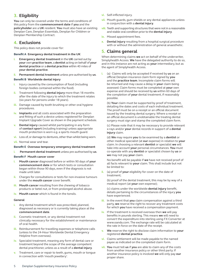# **3. Eligibility**

**You** can only be covered under the terms and conditions of this policy from the **commencement date** if **you** and the **policyholder** are a **UK** resident. **You** must also have an existing Denplan Care, Denplan Essentials, Denplan for Children or Denplan Membership Contract.

## **4. Exclusions**

This policy does not provide cover for:

#### **Benefit A Emergency dental treatment in the UK**

- **i. Emergency dental treatment** in the **UK** carried out by **your** own **practice team**, a **dentist** acting on behalf of **your dental practice** or a **dental practice** within 40 miles of **your dental practice**.
- **ii. Permanent dental treatment** unless pre-authorised by **us**.

#### **Benefit B Worldwide dental injury**

- **i.** Injury caused by the consumption of food (including foreign bodies contained within the food).
- **ii.** Treatment following **dental injury** more than 18 months after the date of the injury to which the treatment relates (six years for persons under 18 years).
- **iii.** Damage caused by tooth brushing or other oral hygiene procedures.
- **iv. Implants** and all costs associated with the preparation and fitting of such a device unless registered for Denplan Implant Upgrade Cover as shown in the payment schedule.
- **v. Dental injury** caused whilst participating in any form of **contact sport** (including training) unless appropriate mouth protection is worn e.g. a sports mouth guard.
- **vi.** Loss of, or damage to dentures, other than whilst being worn.

**vii.** Normal wear and tear.

#### **Benefit E Overseas temporary emergency dental treatment**

**i. Permanent dental treatment** unless pre-authorised by **us**.

#### **Benefit F Mouth cancer cover**

- **i. Mouth cancer** diagnosed before or within 90 days of **your commencement date** or for which tests or consultation began within those 90 days, even if the diagnosis is not made until later.
- **ii.** Charges for consultations or tests for non-invasive tumours under the **mouth cancer** cover benefit.
- **iii. Mouth cancer** resulting from the chewing of tobacco products or betel nut, or from prolonged alcohol abuse.
- **iv. Mouth cancer** which is found in the tonsils.

#### **General**

- **i.** Any dental treatment which was prescribed, planned, diagnosed as necessary or is currently taking place at the **commencement date**.
- **ii.** Cosmetic treatment, or any dental treatment not clinically necessary for the establishment or maintenance of oral health.
- **iii.** Reimbursement for travelling expenses or telephone calls (unless to the 24-Hour Worldwide Dental Emergency Helpline from overseas).
- **iv.** Specialist treatment, meaning any form of dental care or treatment beyond the scope of the average competent dental practitioner, unless as a result of a **dental injury**.
- **v.** Treatment, care or repair to teeth, gums, mouth or tongue in connection with 'mouth jewellery'.
- **vi.** Self-inflicted injury.
- **vii.** Mouth guards, gum shields or any dental appliances unless in conjunction with a **dental injury**.
- **viii.** Teeth and supporting structures that were not in a reasonable and stable oral condition prior to the **dental injury**.
- **ix.** Missed appointment fees.
- **x. Dental injury** resulting from a hospital surgical procedure with or without the administration of general anaesthetic.

## **5. Claims general**

When determining claims **we** act on behalf of the underwriter, Simplyhealth Access. **We** have the delegated authority to do so, and in this instance are not acting as **your** intermediary, but as the agent of Simplyhealth Access.

**i.** (a) Claims will only be accepted if received by **us** on an official Denplan insurance claim form signed by **you**  and the **practice team**. Incomplete claim forms will be returned and may cause a delay in **your** claim being assessed. Claim forms must be completed at **your** own expense and should be received by **us** within 60 days of the completion of **your** dental treatment, if reasonably possible.

(b) **Your** claim must be supported by proof of treatment, detailing the dates and costs of each individual treatment. The proof must be on a receipt or an official document issued by the treating dental surgery. Where a receipt or an official document is unobtainable the treating dental surgery must sign and stamp the completed claim form.

(c) Please note that it may be necessary to provide relevant x-rays and/or **your** dental records in support of a **dental injury** claim.

(d) **We** may require **you** to be examined by a **dentist** or other medical specialist (at **our** expense) in relation to **your** claim. In choosing a relevant **dentist** or specialist **we** will take into account **your** personal circumstances. **You** must co-operate with any **dentist** or specialist chosen by **us** or **we** may not pay **your** claim.

No benefit will be payable if **we** have not received proof of all facts relevant to **your** claim. This shall include but not be limited to:

**ii.** (a) proof of **your** eligibility for cover on the date of treatment;

(b) proof of the dental treatment, this may be by way of a medical report (at **your** own expense);

(c) claims under the worldwide **dental injury** benefit, details pertaining to the circumstances of the injury **you**  have experienced.

- **iii.** In the event that **you** claim compensation against a third party, **we** reserve the right to recover any treatment costs for which **you** have received a compensation payment.
- **iv.** If the treatment is received overseas then **we** will pay benefits in pounds sterling. This means **we** will need to convert the expenditure into sterling using FX Converter at www.oanda.com. The exchange rate will be calculated at the rate in force on the date of the receipt.
- **v. We** reserve the right to disclose claim information to **your** registered **dental practice**.
- **vi.** Claims settlement will be made payable to the named payee as indicated on the completed claim form.
- **vii. You** must tell **us** if **you** are able to claim any of the costs from another insurance policy or other third party. If another insurance policy is involved **we** will only pay **our** proper share.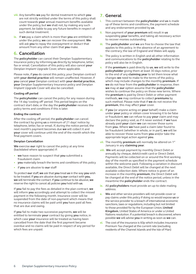- **viii.** Any benefits **we** pay for dental treatment to which **you**  are not strictly entitled under the terms of this policy shall count towards **your** annual maximum benefits available under the policy, but **we** shall not, by making any such payment, be liable to pay any future benefits in respect of such dental treatment.
- **ix.** If **we** pay a claim which is more than **you** are entitled to under the policy, **we** can recover the overpayment. **We** will ask **you** to repay the overpayment or deduct that amount from any other claim that **you** make.

# **6. Cancellation**

The **policyholder** can cancel their Denplan Supplementary Insurance policy by informing **us** directly by telephone, letter, fax or email. Cancellation of this policy will also cancel **your**  Denplan Implant Upgrade Cover, where applicable.

Please note, if **you** do cancel this policy, your Denplan contract with **your dental practice** will remain unaffected. However, if **you** cancel **your** Denplan contract with **your dental practice**, **your** Denplan Supplementary Insurance policy and Denplan Implant Upgrade Cover will also be cancelled.

## **Cooling off period**

The **policyholder** can cancel the policy for any reason during the 14 day 'cooling off' period. This period begins on the contract start date, or the day the **policyholder** receives the policy terms and conditions if this is later.

## **Ending the contract**

After the cooling off period, the **policyholder** can cancel the contract by giving **us** a minimum of 21 days' notice by telephone, letter, fax or email. If, during the notice period, the next month's payment becomes due **we** will collect it and **your** cover will continue until the end of the month which the final payment covers.

## **Denplan Cancellation**

**We** exercise **our** right to cancel the policy at any time (backdated where appropriate) if:

- **we** have reason to suspect that **you** submitted a fraudulent claim
- **you** materially breach the terms and conditions of this policy
- if **you** are abusive to **our** staff

To protect **our** staff, **we** ask that **you** treat **us** in the way **you** wish to be treated. If **you** are abusive during **our** contact with **you**, **we** will terminate the contact. If **you** continue to be abusive, **we** reserve the right to cancel all policies **you** hold with **us**.

If **you** fail to pay the fees as detailed in the plan contract, **we** will inform **you** accordingly and attempt to collect the missed payment in the following month. Insurance cover will be suspended from the date of non-payment which means that no insurance claims will be paid until **you** have paid all fees that are due and owing.

If **you** fail to make two successive payments, **we** will be entitled to terminate **your** contract by giving **you** notice, in which case **your** insurance will be treated as having been cancelled from the date that the first payment became overdue and no claims will be paid in respect of any period for which fees are unpaid.

## **7. General**

- **i.** This contract between the **policyholder** and **us** is made up of these terms and conditions, the payment schedule and any endorsement provided by **us**.
- **ii.** Non payment of **your premium** will result in **us** suspending **your** benefits, and taking all necessary action to recover monies outstanding.
- **iii.** The **policyholder** and **we** are free to choose the law that applies to this policy. In the absence of an agreement to the contrary, the law of England and Wales will apply.
- **iv.** The policy is written in English and all other information and communications to the **policyholder** relating to the policy will also be in English.
- **v.** If the **premium** is paid directly to **us**, **we** will write to the **policyholder** giving them at least 30 days notice, prior to the end of any **claiming year** to let them know what changes **we** need to make to the terms of the policy, which may include changes to the monthly **premium**. If **we** do not hear from the **policyholder** in response, then **we** may at **our** option assume that the **policyholder** wishes to continue the policy on those new terms. Where the **premium** is paid by Direct Debit or other payment methods, **we** may continue to collect **premiums** by such method. Please note that if **we** do not receive the **premium**, this may affect **your** cover.
- **vi.** If **you** (or anyone acting on **your** behalf) make a claim under **your** policy or obtain cover knowing it to be false or fraudulent, **we** can refuse to pay **your** claim and may declare the policy void, as if it never existed. If **we** have already paid **your** claim **we** can recover those sums from **you.** Where **we** have paid a claim later found to be fraudulent (whether in whole, or in part), **we** will be able to recover those sums from **you** and/or take the appropriate legal action against **you.**
- **vii.** The monthly **premium** will normally be altered on 1st January in any **claiming year**.
- **viii. We** will accept payment by monthly Direct Debit or annually by cheque, debit/credit card or Direct Debit. Payments will be collected on or around the first working day of the month as specified in the payment schedule within the welcome pack. Following a variation in discount available, the Direct Debit will be changed at the next available collection date. Where notice is given of an increase in the monthly **premium**, the Direct Debit will be changed at the end of the notice period, unless in the meantime the **policyholder** ends the contract.
- **ix.** All **policyholders** must provide an up-to-date mailing address.
- **x. We** and other service providers will not provide cover or pay claims under this policy if doing so would expose **us** or the service provider to a breach of international economic sanctions, laws or regulations, including but not limited to those provided for by the European Union, **United Kingdom**, United States of America or under a United Nations resolution. If a potential breach is discovered, where possible **we** will advise **you** in writing as soon as **we** can.
- **xi.** The cost of the insurance is 60p which includes Insurance Premium Tax charged at the current rate (excluding residents of the Channel Islands and the Isle of Man)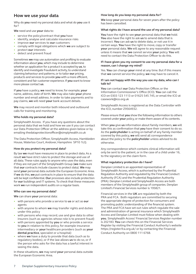## **How we use your data**

Why do **you** need my personal data and what do **you** use it for?

**We** need and use **your** data to:

- service the policy/contract that **you** have
- identify, analyse and calculate insurance risks
- improve **our** services to **our** customers
- comply with legal obligations which **we** are subject to
- protect **our** interests
- detect and prevent fraud

Sometimes **we** may use automation and profiling to evaluate information about **you**, which may include to determine whether an application for a product is accepted by **us**, to identify and investigate fraudulent activity, to understand claiming behaviour and patterns, or to tailor **our** pricing, products and services to provide **you** with a more efficient, consistent and fair customer experience. If **you** want to know more please contact **us**.

If **you** have a policy, **we** need to know, for example, **your** name, address, date of birth. **We** may also take **your** phone number and email address. In order to take payments and to pay claims, **we** will need **your** bank account details.

**We** may record and monitor both inbound and outbound calls for training and monitoring.

## **Who holds my personal data?**

Simplyhealth Access. If you have any questions about the personal data that we hold and how we use it you can contact our Data Protection Officer at the address given below or by emailing thedataprotectionofficer@simplyhealth.co.uk

The Data Protection Officer, Simplyhealth Access, Hambleden House, Waterloo Court, Andover, Hampshire SP10 1LQ.

#### **How do you protect my personal data?**

By law **we** must have measures in place to protect data. As a result **we** have strict rules to protect the storage and use of all data. These rules apply to anyone who uses the data, even if they are not part of the Simplyhealth Group (**we** make sure that **our** contracts include clauses to protect data). **We** may send **your** personal data outside the European Economic Area. If **we** do this, **we** put contracts in place to ensure that the data will be kept confidential. **Our** processes also include protection for **our** buildings and IT systems. To check that these measures work **we** run independent audits on a regular basis.

#### **Who can see my personal data?**

**We** can share **your** personal data:

- with persons who provide a service to **us** or act as **our** agents
- with anyone to whom **we** may transfer rights and duties under this policy
- with persons who may record, use and give data to other insurers (such as agencies whose role is to prevent fraud)
- with persons appointed by **you** or who provide a service to **you** in relation to this policy, for example insurance intermediary or **your** healthcare providers (such as **your dental practice**, specialist or a hospital)
- where **we** have a duty to provide that data (such as to regulatory bodies), or if the law allows **us** to do so, or if the person who asks for the data has a lawful interest in seeing the data.

In these situations, **we** may send **your** personal data outside the European Economic Area.

## **How long do you keep my personal data for?**

**We** keep **your** personal data for seven years after the policy has been cancelled.

#### **What rights do I have around the use of my personal data?**

**You** have the right to see **your** personal data that **we** hold. **You** also have the right to ask **us** to amend data that is incorrect. **You** can ask **us** to delete data, or not use it in certain ways. **You** have the right to move, copy or transfer **your** personal data. **We** will agree to any reasonable request unless it means that **we** cannot service **your** policy. **You** will need to contact the Data Protection Officer to do this.

#### **If I have given you my consent to use my personal data for a reason, can I change my mind?**

Yes. **You** can change **your** mind at any time. But if this means that **we** cannot service the policy, **we** may have to cancel it.

#### **If I am not happy with the way you use my data, who can I talk to?**

**You** can contact **our** Data Protection Officer, or the Information Commissioner's Office (ICO). **You** can call the ICO on 0303 123 1113 or 01625 545 745, or email the ICO at casework@ico.org.uk

Simplyhealth Access is registered as the Data Controller with the ICO, number Z9564932.

Please ensure that **you** show the following information to others covered under **your** policy, or make them aware of its contents.

When **you** give **us** information about family members, **we** will take this as confirmation that **you** have their consent to do so. As the **policyholder** is acting on behalf of any family member covered by this policy, **we** will send all correspondence about the policy to the **policyholder** unless advised to do otherwise.

Any correspondence which contains clinical information will only be sent to the patient, or in the case of a child under 16, to the signatory on the claim form.

## **What regulatory protection do I have?**

Denplan Limited is an appointed representative of Simplyhealth Access, which is authorised by the Prudential Regulation Authority and regulated by the Financial Conduct Authority (FCA) and the Prudential Regulation Authority (PRA). Denplan Limited and Simplyhealth Access are both members of the Simplyhealth group of companies. Denplan Limited's Financial Services number is 195821.

Financial services in the **UK** are regulated by both the PRA and FCA. Both regulators are committed to securing the appropriate degree of protection for consumers and promoting public understanding of the financial system. The PRA and FCA have set out rules which regulate the sale and administration of general insurance which Simplyhealth Access and Denplan Limited must follow when dealing with **you.** Simplyhealth Access' Financial Services Register number is 202183. **You** can check this on the Financial Services Register by visiting the Financial Conduct Authority's website https://register.fca.org.uk/ or by contacting the Financial Conduct Authority on 0800 111 6768.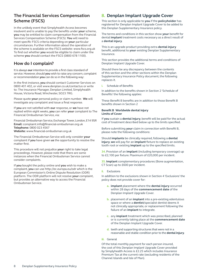# **The Financial Services Compensation Scheme (FSCS)**

In the unlikely event that Simplyhealth Access becomes insolvent and is unable to pay the benefits under **your** scheme, **you** may be entitled to claim compensation from the Financial Services Compensation Scheme (FSCS). **You** will need to meet specific FSCS criteria depending on **your** particular circumstances. Further information about the operation of the scheme is available on the FSCS website: www.fscs.org.uk To find out whether **you** would be eligible to claim under the scheme **you** should contact the FSCS (0800 678 1100).

# **How do I complain?**

It is always **our** intention to provide a first class standard of service. However, should **you** wish to raise any concern, complaint or recommendation **you** can do so in the following way:

In the first instance, **you** should contact Customer Services on 0800 401 402, or visit www.denplan.co.uk/contactus or write to: The Insurance Manager, Denplan Limited, Simplyhealth House, Victoria Road, Winchester, SO23 7RG.

Please quote **your** personal policy or claim number. **We** will investigate any complaint and issue a final response.

If **you** are not satisfied with **our** response, or **we** have not replied within eight weeks, **you** can refer **your** complaint to The Financial Ombudsman Service, via:

Financial Ombudsman Service, Exchange Tower, London, E14 9SR **Email:** complaint.info@financial-ombudsman.org.uk **Telephone:** 0800 023 4567 **Website:** www.financial-ombudsman.org.uk

The Financial Ombudsman Service will only consider **your** complaint if **you** have given **us** the opportunity to resolve the matter first.

This procedure will not prejudice **your** right to take legal proceedings. However, please note that there are some instances when the Financial Ombudsman Service cannot consider complaints.

If **you** bought the policy online and **you** wish to make a complaint, **you** can use http://ec.europa.eu/odr which is the European Commission's Online Dispute Resolution (ODR) platform. The ODR platform will not resolve **your** complaint, but provides an alternative way to access the Financial Ombudsman Service.

# **8. Denplan Implant Upgrade Cover**

This section is only applicable to **you** if the **policyholder** has registered for Denplan Implant Upgrade Cover to be added to this Denplan Supplementary Insurance policy.

The terms and conditions in this section show **your** benefit for dental **implant** treatment costs necessary as a direct result of a **dental injury**.

This is an upgrade product providing extra **dental injury** benefit, additional to **your** existing Denplan Supplementary Insurance.

This section provides the additional terms and conditions of Denplan Implant Upgrade Cover.

Should there be any discrepancy between the contents of this section and the other sections within the Denplan Supplementary Insurance Policy document, the following replaces it.

#### **i.** Schedule of Benefits

In addition to the benefits shown in Section 2 'Schedule of Benefits' the following applies:

These Benefit B benefits are in addition to those Benefit B benefits shown in Section 2

#### **Benefit B Worldwide dental injury Limits of Cover**

If **you** sustain a **dental injury**, benefit will be paid for the actual cost of treatment described below up to the limits specified.

Before submitting **your** claim in connection with Benefit B, please note the following conditions:

Should **implants** be clinically required, following a **dental injury**, **we** will pay for an **implant** fixture to replace an existing tooth root or existing **implant** up to the specified limits.

**34.** Provision of an **implant** (including temporary coverage) up to £2,100 per fixture. Maximum of £20,000 per incident.

**35. Implant** complementary procedures (Bone augmentation, CT Scan) up to £600 per incident.

## **ii.** Exclusions

In addition to the exclusions shown in Section 4 'Exclusions' the policy does not provide cover for:

- **a. implant** placement where the **dental injury** occurred within 28 days of the **commencement date** of the Denplan Implant Upgrade Cover.
- **b.** placement of an **implant** into a pre-existing edentulous space or where a **dentist**/specialist dentist deems it not clinically appropriate, or replacement following the failure of an **implant** to integrate.
- **c.** any **implant** treatment which was prescribed, planned or is currently taking place at the **commencement date** of the Denplan Implant Upgrade Cover.
- **d.** teeth and supporting structures that were not in a reasonable and stable condition prior to the **dental injury**.

## **iii.** General

Of the total monthly payment for each person insured, the cost of this Denplan Implant Upgrade Cover provided by Simplyhealth Access is £2.25 which includes Insurance Premium Tax at the current rate (excluding residents of the Channel Islands and Isle of Man).